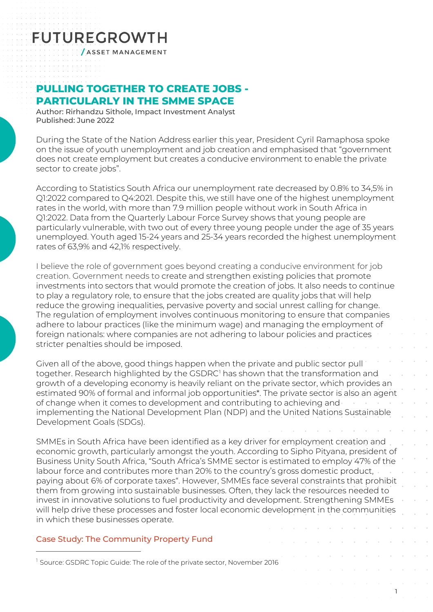# **FUTUREGROWTH**

**/ASSET MANAGEMENT** 

### **PULLING TOGETHER TO CREATE JOBS - PARTICULARLY IN THE SMME SPACE**

Author: Rirhandzu Sithole, Impact Investment Analyst Published: June 2022

During the State of the Nation Address earlier this year, President Cyril Ramaphosa spoke on the issue of youth unemployment and job creation and emphasised that "government does not create employment but creates a conducive environment to enable the private sector to create jobs".

According to Statistics South Africa our unemployment rate decreased by 0.8% to 34,5% in Q1:2022 compared to Q4:2021. Despite this, we still have one of the highest unemployment rates in the world, with more than 7.9 million people without work in South Africa in Q1:2022. Data from the Quarterly Labour Force Survey shows that young people are particularly vulnerable, with two out of every three young people under the age of 35 years unemployed. Youth aged 15-24 years and 25-34 years recorded the highest unemployment rates of 63,9% and 42,1% respectively.

I believe the role of government goes beyond creating a conducive environment for job creation. Government needs to create and strengthen existing policies that promote investments into sectors that would promote the creation of jobs. It also needs to continue to play a regulatory role, to ensure that the jobs created are quality jobs that will help reduce the growing inequalities, pervasive poverty and social unrest calling for change. The regulation of employment involves continuous monitoring to ensure that companies adhere to labour practices (like the minimum wage) and managing the employment of foreign nationals: where companies are not adhering to labour policies and practices stricter penalties should be imposed.

Given all of the above, good things happen when the private and public sector pull together. Research highlighted by the GSDRC<sup>[1](#page-0-0)</sup> has shown that the transformation and growth of a developing economy is heavily reliant on the private sector, which provides an estimated 90% of formal and informal job opportunities\*. The private sector is also an agent of change when it comes to development and contributing to achieving and implementing the National Development Plan (NDP) and the United Nations Sustainable Development Goals (SDGs).

SMMEs in South Africa have been identified as a key driver for employment creation and economic growth, particularly amongst the youth. According to Sipho Pityana, president of Business Unity South Africa, "South Africa's SMME sector is estimated to employ 47% of the labour force and contributes more than 20% to the country's gross domestic product, paying about 6% of corporate taxes". However, SMMEs face several constraints that prohibit them from growing into sustainable businesses. Often, they lack the resources needed to invest in innovative solutions to fuel productivity and development. Strengthening SMMEs will help drive these processes and foster local economic development in the communities in which these businesses operate.

1

### Case Study: The Community Property Fund

<span id="page-0-0"></span><sup>1</sup> Source: GSDRC Topic Guide: The role of the private sector, November 2016